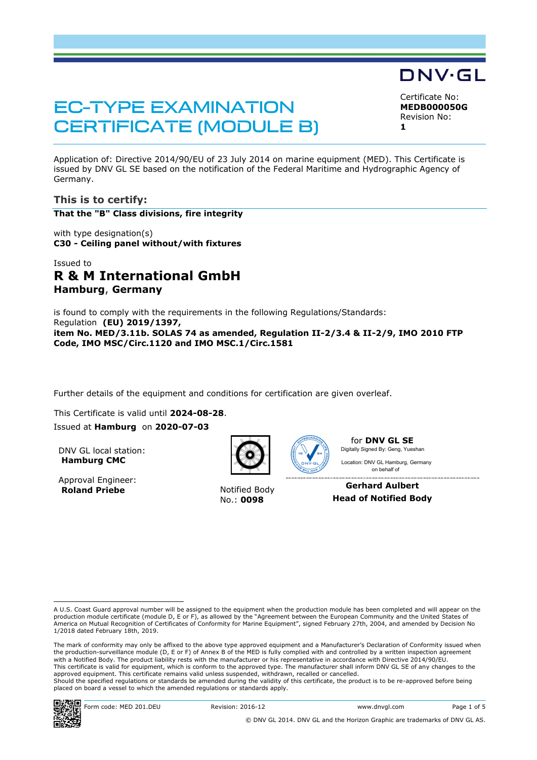# **EC-TYPE EXAMINATION CERTIFICATE (MODULE B)**

Certificate No: **MEDB000050G** Revision No: **1**

DNV·GL

Application of: Directive 2014/90/EU of 23 July 2014 on marine equipment (MED). This Certificate is issued by DNV GL SE based on the notification of the Federal Maritime and Hydrographic Agency of Germany.

# **This is to certify:**

**That the "B" Class divisions, fire integrity**

with type designation(s) **C30 - Ceiling panel without/with fixtures**

# Issued to **R & M International GmbH Hamburg**, **Germany**

is found to comply with the requirements in the following Regulations/Standards: Regulation **(EU) 2019/1397, item No. MED/3.11b. SOLAS 74 as amended, Regulation II-2/3.4 & II-2/9, IMO 2010 FTP Code, IMO MSC/Circ.1120 and IMO MSC.1/Circ.1581**

Further details of the equipment and conditions for certification are given overleaf.

This Certificate is valid until **2024-08-28**.

Issued at **Hamburg** on **2020-07-03**

DNV GL local station: **Hamburg CMC**

Approval Engineer: **Roland Priebe** Notified Body





No.: **0098**

for **DNV GL SE** Digitally Signed By: Geng, Yueshan Location: DNV GL Hamburg, Germany

on behalf of

**Gerhard Aulbert Head of Notified Body**

The mark of conformity may only be affixed to the above type approved equipment and a Manufacturer's Declaration of Conformity issued when the production-surveillance module (D, E or F) of Annex B of the MED is fully complied with and controlled by a written inspection agreement with a Notified Body. The product liability rests with the manufacturer or his representative in accordance with Directive 2014/90/EU. This certificate is valid for equipment, which is conform to the approved type. The manufacturer shall inform DNV GL SE of any changes to the approved equipment. This certificate remains valid unless suspended, withdrawn, recalled or cancelled. Should the specified regulations or standards be amended during the validity of this certificate, the product is to be re-approved before being placed on board a vessel to which the amended regulations or standards apply.



A U.S. Coast Guard approval number will be assigned to the equipment when the production module has been completed and will appear on the production module certificate (module D, E or F), as allowed by the "Agreement between the European Community and the United States of<br>America on Mutual Recognition of Certificates of Conformity for Marine Equipment", sign 1/2018 dated February 18th, 2019.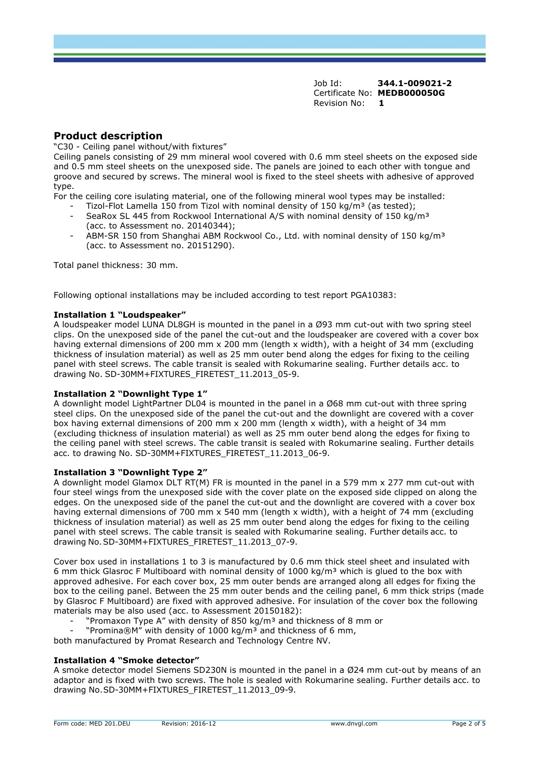# **Product description**

"C30 - Ceiling panel without/with fixtures"

Ceiling panels consisting of 29 mm mineral wool covered with 0.6 mm steel sheets on the exposed side and 0.5 mm steel sheets on the unexposed side. The panels are joined to each other with tongue and groove and secured by screws. The mineral wool is fixed to the steel sheets with adhesive of approved type.

For the ceiling core isulating material, one of the following mineral wool types may be installed:

- Tizol-Flot Lamella 150 from Tizol with nominal density of 150 kg/m<sup>3</sup> (as tested);
- SeaRox SL 445 from Rockwool International A/S with nominal density of 150 kg/m<sup>3</sup> (acc. to Assessment no. 20140344);
- ABM-SR 150 from Shanghai ABM Rockwool Co., Ltd. with nominal density of 150 kg/m<sup>3</sup> (acc. to Assessment no. 20151290).

Total panel thickness: 30 mm.

Following optional installations may be included according to test report PGA10383:

#### **Installation 1 "Loudspeaker"**

A loudspeaker model LUNA DL8GH is mounted in the panel in a Ø93 mm cut-out with two spring steel clips. On the unexposed side of the panel the cut-out and the loudspeaker are covered with a cover box having external dimensions of 200 mm x 200 mm (length x width), with a height of 34 mm (excluding thickness of insulation material) as well as 25 mm outer bend along the edges for fixing to the ceiling panel with steel screws. The cable transit is sealed with Rokumarine sealing. Further details acc. to drawing No. SD-30MM+FIXTURES\_FIRETEST\_11.2013\_05-9.

#### **Installation 2 "Downlight Type 1"**

A downlight model LightPartner DL04 is mounted in the panel in a Ø68 mm cut-out with three spring steel clips. On the unexposed side of the panel the cut-out and the downlight are covered with a cover box having external dimensions of 200 mm x 200 mm (length x width), with a height of 34 mm (excluding thickness of insulation material) as well as 25 mm outer bend along the edges for fixing to the ceiling panel with steel screws. The cable transit is sealed with Rokumarine sealing. Further details acc. to drawing No. SD-30MM+FIXTURES\_FIRETEST\_11.2013\_06-9.

#### **Installation 3 "Downlight Type 2"**

A downlight model Glamox DLT RT(M) FR is mounted in the panel in a 579 mm x 277 mm cut-out with four steel wings from the unexposed side with the cover plate on the exposed side clipped on along the edges. On the unexposed side of the panel the cut-out and the downlight are covered with a cover box having external dimensions of 700 mm x 540 mm (length x width), with a height of 74 mm (excluding thickness of insulation material) as well as 25 mm outer bend along the edges for fixing to the ceiling panel with steel screws. The cable transit is sealed with Rokumarine sealing. Further details acc. to drawing No. SD-30MM+FIXTURES\_FIRETEST\_11.2013\_07-9.

Cover box used in installations 1 to 3 is manufactured by 0.6 mm thick steel sheet and insulated with 6 mm thick Glasroc F Multiboard with nominal density of 1000 kg/m<sup>3</sup> which is glued to the box with approved adhesive. For each cover box, 25 mm outer bends are arranged along all edges for fixing the box to the ceiling panel. Between the 25 mm outer bends and the ceiling panel, 6 mm thick strips (made by Glasroc F Multiboard) are fixed with approved adhesive. For insulation of the cover box the following materials may be also used (acc. to Assessment 20150182):

- "Promaxon Type A" with density of 850 kg/m<sup>3</sup> and thickness of 8 mm or
- "Promina®M" with density of 1000 kg/m<sup>3</sup> and thickness of 6 mm,

both manufactured by Promat Research and Technology Centre NV.

#### **Installation 4 "Smoke detector"**

A smoke detector model Siemens SD230N is mounted in the panel in a Ø24 mm cut-out by means of an adaptor and is fixed with two screws. The hole is sealed with Rokumarine sealing. Further details acc. to drawing No.SD-30MM+FIXTURES\_FIRETEST\_11.2013\_09-9.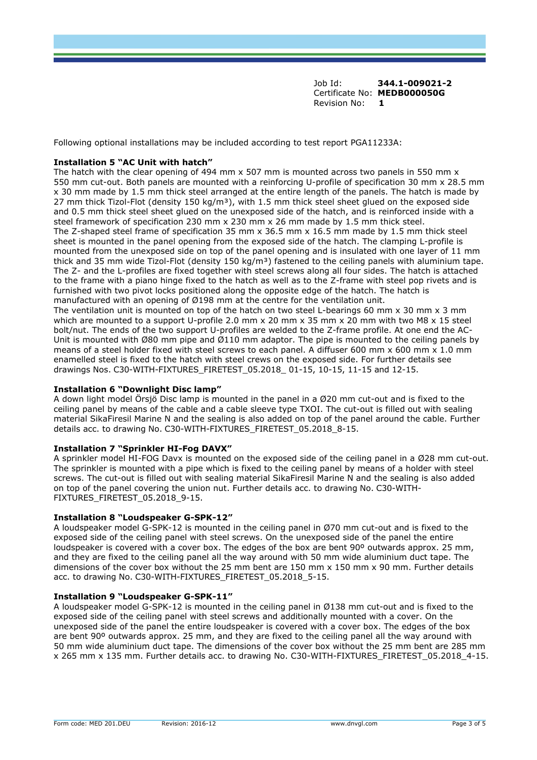Following optional installations may be included according to test report PGA11233A:

#### **Installation 5 "AC Unit with hatch"**

The hatch with the clear opening of 494 mm x 507 mm is mounted across two panels in 550 mm x 550 mm cut-out. Both panels are mounted with a reinforcing U-profile of specification 30 mm x 28.5 mm x 30 mm made by 1.5 mm thick steel arranged at the entire length of the panels. The hatch is made by 27 mm thick Tizol-Flot (density 150 kg/m<sup>3</sup>), with 1.5 mm thick steel sheet glued on the exposed side and 0.5 mm thick steel sheet glued on the unexposed side of the hatch, and is reinforced inside with a steel framework of specification 230 mm x 230 mm x 26 mm made by 1.5 mm thick steel. The Z-shaped steel frame of specification 35 mm  $\times$  36.5 mm  $\times$  16.5 mm made by 1.5 mm thick steel sheet is mounted in the panel opening from the exposed side of the hatch. The clamping L-profile is mounted from the unexposed side on top of the panel opening and is insulated with one layer of 11 mm thick and 35 mm wide Tizol-Flot (density 150 kg/m<sup>3</sup>) fastened to the ceiling panels with aluminium tape. The Z- and the L-profiles are fixed together with steel screws along all four sides. The hatch is attached to the frame with a piano hinge fixed to the hatch as well as to the Z-frame with steel pop rivets and is furnished with two pivot locks positioned along the opposite edge of the hatch. The hatch is manufactured with an opening of Ø198 mm at the centre for the ventilation unit. The ventilation unit is mounted on top of the hatch on two steel L-bearings 60 mm x 30 mm x 3 mm which are mounted to a support U-profile 2.0 mm x 20 mm x 35 mm x 20 mm with two M8 x 15 steel bolt/nut. The ends of the two support U-profiles are welded to the Z-frame profile. At one end the AC-Unit is mounted with Ø80 mm pipe and Ø110 mm adaptor. The pipe is mounted to the ceiling panels by means of a steel holder fixed with steel screws to each panel. A diffuser 600 mm  $\times$  600 mm  $\times$  1.0 mm enamelled steel is fixed to the hatch with steel crews on the exposed side. For further details see drawings Nos. C30-WITH-FIXTURES\_FIRETEST\_05.2018\_ 01-15, 10-15, 11-15 and 12-15.

#### **Installation 6 "Downlight Disc lamp"**

A down light model Örsjö Disc lamp is mounted in the panel in a Ø20 mm cut-out and is fixed to the ceiling panel by means of the cable and a cable sleeve type TXOI. The cut-out is filled out with sealing material SikaFiresil Marine N and the sealing is also added on top of the panel around the cable. Further details acc. to drawing No. C30-WITH-FIXTURES\_FIRETEST\_05.2018\_8-15.

#### **Installation 7 "Sprinkler HI-Fog DAVX"**

A sprinkler model HI-FOG Davx is mounted on the exposed side of the ceiling panel in a Ø28 mm cut-out. The sprinkler is mounted with a pipe which is fixed to the ceiling panel by means of a holder with steel screws. The cut-out is filled out with sealing material SikaFiresil Marine N and the sealing is also added on top of the panel covering the union nut. Further details acc. to drawing No. C30-WITH-FIXTURES\_FIRETEST\_05.2018\_9-15.

#### **Installation 8 "Loudspeaker G-SPK-12"**

A loudspeaker model G-SPK-12 is mounted in the ceiling panel in Ø70 mm cut-out and is fixed to the exposed side of the ceiling panel with steel screws. On the unexposed side of the panel the entire loudspeaker is covered with a cover box. The edges of the box are bent 90° outwards approx. 25 mm, and they are fixed to the ceiling panel all the way around with 50 mm wide aluminium duct tape. The dimensions of the cover box without the 25 mm bent are 150 mm x 150 mm x 90 mm. Further details acc. to drawing No. C30-WITH-FIXTURES\_FIRETEST\_05.2018\_5-15.

#### **Installation 9 "Loudspeaker G-SPK-11"**

A loudspeaker model G-SPK-12 is mounted in the ceiling panel in Ø138 mm cut-out and is fixed to the exposed side of the ceiling panel with steel screws and additionally mounted with a cover. On the unexposed side of the panel the entire loudspeaker is covered with a cover box. The edges of the box are bent 90º outwards approx. 25 mm, and they are fixed to the ceiling panel all the way around with 50 mm wide aluminium duct tape. The dimensions of the cover box without the 25 mm bent are 285 mm x 265 mm x 135 mm. Further details acc. to drawing No. C30-WITH-FIXTURES\_FIRETEST\_05.2018\_4-15.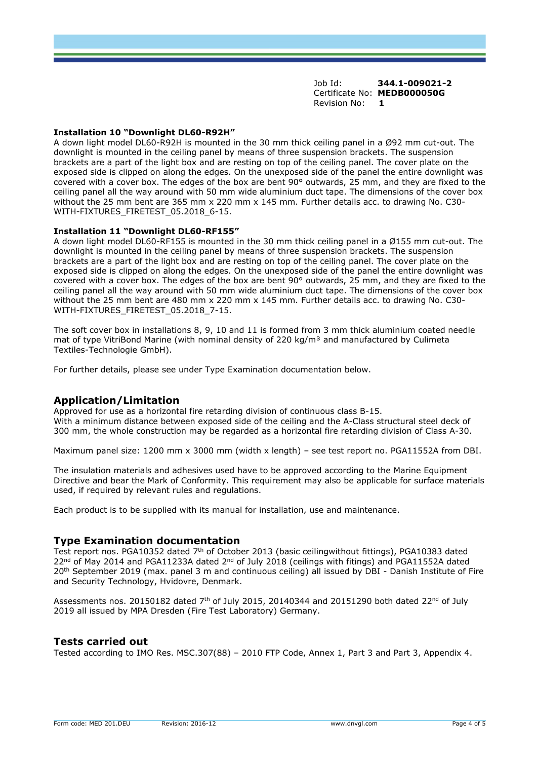#### **Installation 10 "Downlight DL60-R92H"**

A down light model DL60-R92H is mounted in the 30 mm thick ceiling panel in a Ø92 mm cut-out. The downlight is mounted in the ceiling panel by means of three suspension brackets. The suspension brackets are a part of the light box and are resting on top of the ceiling panel. The cover plate on the exposed side is clipped on along the edges. On the unexposed side of the panel the entire downlight was covered with a cover box. The edges of the box are bent 90° outwards, 25 mm, and they are fixed to the ceiling panel all the way around with 50 mm wide aluminium duct tape. The dimensions of the cover box without the 25 mm bent are 365 mm x 220 mm x 145 mm. Further details acc. to drawing No. C30- WITH-FIXTURES\_FIRETEST\_05.2018\_6-15.

#### **Installation 11 "Downlight DL60-RF155"**

A down light model DL60-RF155 is mounted in the 30 mm thick ceiling panel in a Ø155 mm cut-out. The downlight is mounted in the ceiling panel by means of three suspension brackets. The suspension brackets are a part of the light box and are resting on top of the ceiling panel. The cover plate on the exposed side is clipped on along the edges. On the unexposed side of the panel the entire downlight was covered with a cover box. The edges of the box are bent 90° outwards, 25 mm, and they are fixed to the ceiling panel all the way around with 50 mm wide aluminium duct tape. The dimensions of the cover box without the 25 mm bent are 480 mm x 220 mm x 145 mm. Further details acc. to drawing No. C30- WITH-FIXTURES\_FIRETEST\_05.2018\_7-15.

The soft cover box in installations 8, 9, 10 and 11 is formed from 3 mm thick aluminium coated needle mat of type VitriBond Marine (with nominal density of 220 kg/m<sup>3</sup> and manufactured by Culimeta Textiles-Technologie GmbH).

For further details, please see under Type Examination documentation below.

#### **Application/Limitation**

Approved for use as a horizontal fire retarding division of continuous class B-15. With a minimum distance between exposed side of the ceiling and the A-Class structural steel deck of 300 mm, the whole construction may be regarded as a horizontal fire retarding division of Class A-30.

Maximum panel size: 1200 mm x 3000 mm (width x length) - see test report no. PGA11552A from DBI.

The insulation materials and adhesives used have to be approved according to the Marine Equipment Directive and bear the Mark of Conformity. This requirement may also be applicable for surface materials used, if required by relevant rules and regulations.

Each product is to be supplied with its manual for installation, use and maintenance.

#### **Type Examination documentation**

Test report nos. PGA10352 dated 7 th of October 2013 (basic ceilingwithout fittings), PGA10383 dated 22<sup>nd</sup> of May 2014 and PGA11233A dated 2<sup>nd</sup> of July 2018 (ceilings with fitings) and PGA11552A dated 20<sup>th</sup> September 2019 (max. panel 3 m and continuous ceiling) all issued by DBI - Danish Institute of Fire and Security Technology, Hvidovre, Denmark.

Assessments nos. 20150182 dated  $7<sup>th</sup>$  of July 2015, 20140344 and 20151290 both dated 22<sup>nd</sup> of July 2019 all issued by MPA Dresden (Fire Test Laboratory) Germany.

#### **Tests carried out**

Tested according to IMO Res. MSC.307(88) – 2010 FTP Code, Annex 1, Part 3 and Part 3, Appendix 4.